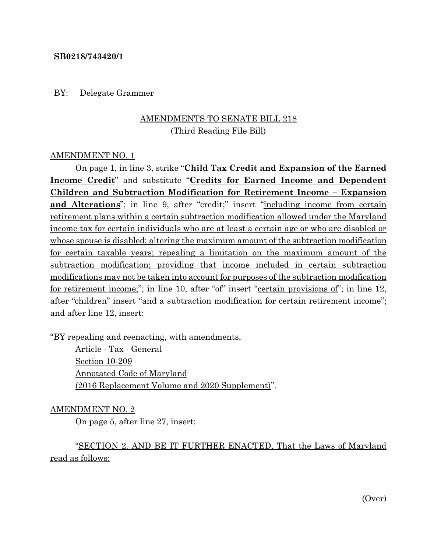#### **SB0218/743420/1**

#### BY: Delegate Grammer

# AMENDMENTS TO SENATE BILL 218 (Third Reading File Bill)

### AMENDMENT NO. 1

On page 1, in line 3, strike "**Child Tax Credit and Expansion of the Earned Income Credit**" and substitute "**Credits for Earned Income and Dependent Children and Subtraction Modification for Retirement Income – Expansion and Alterations**"; in line 9, after "credit;" insert "including income from certain retirement plans within a certain subtraction modification allowed under the Maryland income tax for certain individuals who are at least a certain age or who are disabled or whose spouse is disabled; altering the maximum amount of the subtraction modification for certain taxable years; repealing a limitation on the maximum amount of the subtraction modification; providing that income included in certain subtraction modifications may not be taken into account for purposes of the subtraction modification for retirement income;"; in line 10, after "of" insert "certain provisions of"; in line 12, after "children" insert "and a subtraction modification for certain retirement income"; and after line 12, insert:

"BY repealing and reenacting, with amendments,

Article - Tax - General Section 10-209 Annotated Code of Maryland (2016 Replacement Volume and 2020 Supplement)".

#### AMENDMENT NO. 2

On page 5, after line 27, insert:

"SECTION 2. AND BE IT FURTHER ENACTED, That the Laws of Maryland read as follows: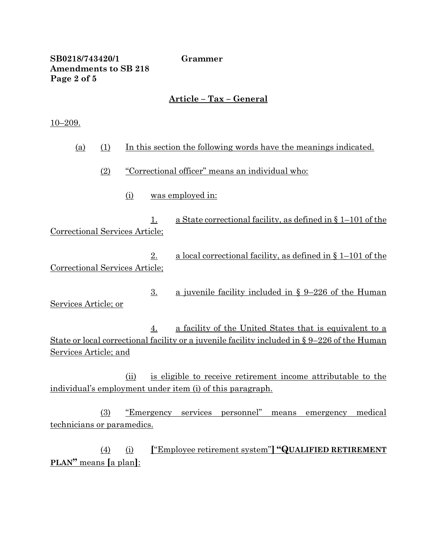### **SB0218/743420/1 Grammer Amendments to SB 218 Page 2 of 5**

# **Article – Tax – General**

#### 10–209.

| (a) | (1)                            |                                                 |                  | In this section the following words have the meanings indicated.                                                                                                  |
|-----|--------------------------------|-------------------------------------------------|------------------|-------------------------------------------------------------------------------------------------------------------------------------------------------------------|
|     | (2)                            | "Correctional officer" means an individual who: |                  |                                                                                                                                                                   |
|     |                                | <u>(i)</u>                                      |                  | was employed in:                                                                                                                                                  |
|     | Correctional Services Article; |                                                 | 1.               | a State correctional facility, as defined in $\S 1-101$ of the                                                                                                    |
|     | Correctional Services Article; |                                                 | 2.               | <u>a local correctional facility, as defined in <math>\S 1-101</math> of the</u>                                                                                  |
|     | Services Article; or           |                                                 | $\overline{3}$ . | a juvenile facility included in $\S$ 9–226 of the Human                                                                                                           |
|     |                                |                                                 | 4.               | <u>a facility of the United States that is equivalent to a</u><br>State or local correctional facility or a juvenile facility included in $\S 9-226$ of the Human |

Services Article; and

(ii) is eligible to receive retirement income attributable to the individual's employment under item (i) of this paragraph.

(3) "Emergency services personnel" means emergency medical technicians or paramedics.

(4) (i) **[**"Employee retirement system"**] "QUALIFIED RETIREMENT PLAN"** means **[**a plan**]**: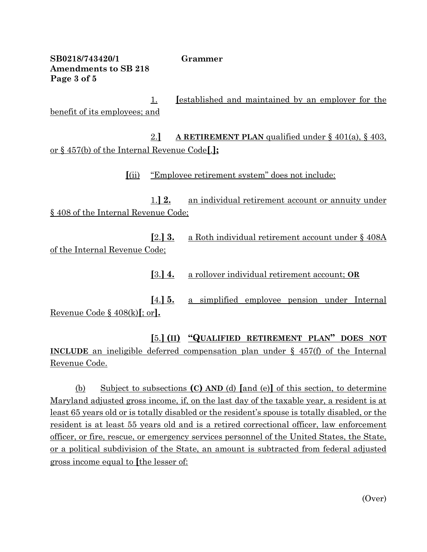**SB0218/743420/1 Grammer Amendments to SB 218 Page 3 of 5**

1. **[**established and maintained by an employer for the benefit of its employees; and

2.**] A RETIREMENT PLAN** qualified under § 401(a), § 403, or § 457(b) of the Internal Revenue Code**[**.**];**

**[**(ii) "Employee retirement system" does not include:

1.**] 2.** an individual retirement account or annuity under § 408 of the Internal Revenue Code;

**[**2.**] 3.** a Roth individual retirement account under § 408A of the Internal Revenue Code;

**[**3.**] 4.** a rollover individual retirement account; **OR**

**[**4.**] 5.** a simplified employee pension under Internal Revenue Code § 408(k)**[**; or**].**

**[**5.**] (II) "QUALIFIED RETIREMENT PLAN" DOES NOT INCLUDE** an ineligible deferred compensation plan under § 457(f) of the Internal Revenue Code.

(b) Subject to subsections **(C) AND** (d) **[**and (e)**]** of this section, to determine Maryland adjusted gross income, if, on the last day of the taxable year, a resident is at least 65 years old or is totally disabled or the resident's spouse is totally disabled, or the resident is at least 55 years old and is a retired correctional officer, law enforcement officer, or fire, rescue, or emergency services personnel of the United States, the State, or a political subdivision of the State, an amount is subtracted from federal adjusted gross income equal to **[**the lesser of:

(Over)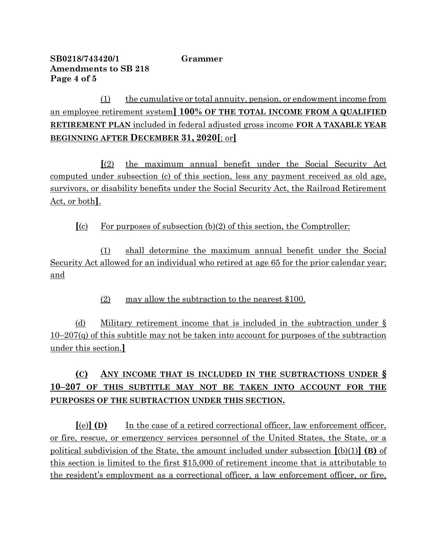## **SB0218/743420/1 Grammer Amendments to SB 218 Page 4 of 5**

(1) the cumulative or total annuity, pension, or endowment income from an employee retirement system**] 100% OF THE TOTAL INCOME FROM A QUALIFIED RETIREMENT PLAN** included in federal adjusted gross income **FOR A TAXABLE YEAR BEGINNING AFTER DECEMBER 31, 2020[**; or**]**

**[**(2) the maximum annual benefit under the Social Security Act computed under subsection (c) of this section, less any payment received as old age, survivors, or disability benefits under the Social Security Act, the Railroad Retirement Act, or both**]**.

**[**(c) For purposes of subsection (b)(2) of this section, the Comptroller:

(1) shall determine the maximum annual benefit under the Social Security Act allowed for an individual who retired at age 65 for the prior calendar year; and

(2) may allow the subtraction to the nearest \$100.

(d) Military retirement income that is included in the subtraction under § 10–207(q) of this subtitle may not be taken into account for purposes of the subtraction under this section.**]**

# **(C) ANY INCOME THAT IS INCLUDED IN THE SUBTRACTIONS UNDER § 10–207 OF THIS SUBTITLE MAY NOT BE TAKEN INTO ACCOUNT FOR THE PURPOSES OF THE SUBTRACTION UNDER THIS SECTION.**

**[**(e)**] (D)** In the case of a retired correctional officer, law enforcement officer, or fire, rescue, or emergency services personnel of the United States, the State, or a political subdivision of the State, the amount included under subsection **[**(b)(1)**] (B)** of this section is limited to the first \$15,000 of retirement income that is attributable to the resident's employment as a correctional officer, a law enforcement officer, or fire,